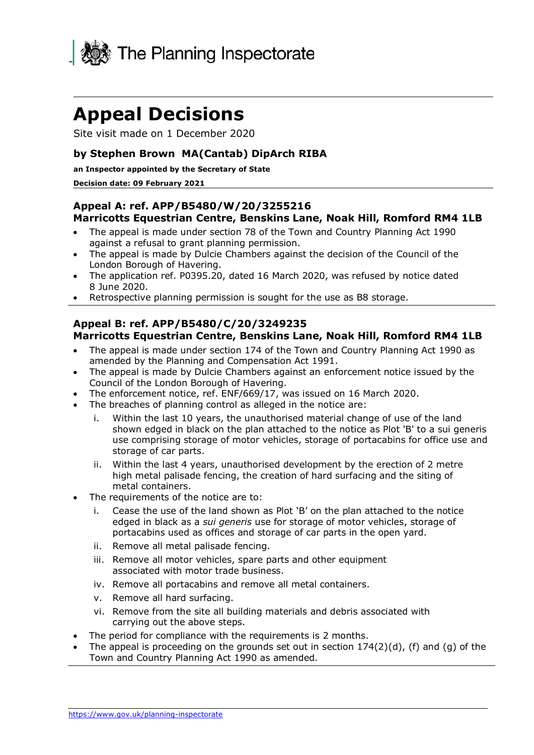

## **Appeal Decisions**

Site visit made on 1 December 2020

#### **by Stephen Brown MA(Cantab) DipArch RIBA**

**an Inspector appointed by the Secretary of State** 

#### **Decision date: 09 February 2021**

#### **Appeal A: ref. APP/B5480/W/20/3255216 Marricotts Equestrian Centre, Benskins Lane, Noak Hill, Romford RM4 1LB**

- • The appeal is made under section 78 of the Town and Country Planning Act 1990 against a refusal to grant planning permission.
- • The appeal is made by Dulcie Chambers against the decision of the Council of the London Borough of Havering.
- • The application ref. P0395.20, dated 16 March 2020, was refused by notice dated 8 June 2020.
- Retrospective planning permission is sought for the use as B8 storage.

#### **Marricotts Equestrian Centre, Benskins Lane, Noak Hill, Romford RM4 1LB Appeal B: ref. APP/B5480/C/20/3249235**

- • The appeal is made under section 174 of the Town and Country Planning Act 1990 as amended by the Planning and Compensation Act 1991.
- • The appeal is made by Dulcie Chambers against an enforcement notice issued by the Council of the London Borough of Havering.
- The enforcement notice, ref. ENF/669/17, was issued on 16 March 2020.
- • The breaches of planning control as alleged in the notice are:
	- i. Within the last 10 years, the unauthorised material change of use of the land shown edged in black on the plan attached to the notice as Plot 'B' to a sui generis use comprising storage of motor vehicles, storage of portacabins for office use and storage of car parts.
	- ii. Within the last 4 years, unauthorised development by the erection of 2 metre high metal palisade fencing, the creation of hard surfacing and the siting of metal containers.
- • The requirements of the notice are to:
	- i. Cease the use of the land shown as Plot 'B' on the plan attached to the notice edged in black as a *sui generis* use for storage of motor vehicles, storage of portacabins used as offices and storage of car parts in the open yard.
	- ii. Remove all metal palisade fencing.
	- iii. Remove all motor vehicles, spare parts and other equipment associated with motor trade business.
	- iv. Remove all portacabins and remove all metal containers.
	- v. Remove all hard surfacing.
	- vi. Remove from the site all building materials and debris associated with carrying out the above steps.
- The period for compliance with the requirements is 2 months.
- The appeal is proceeding on the grounds set out in section  $174(2)(d)$ , (f) and (g) of the Town and Country Planning Act 1990 as amended.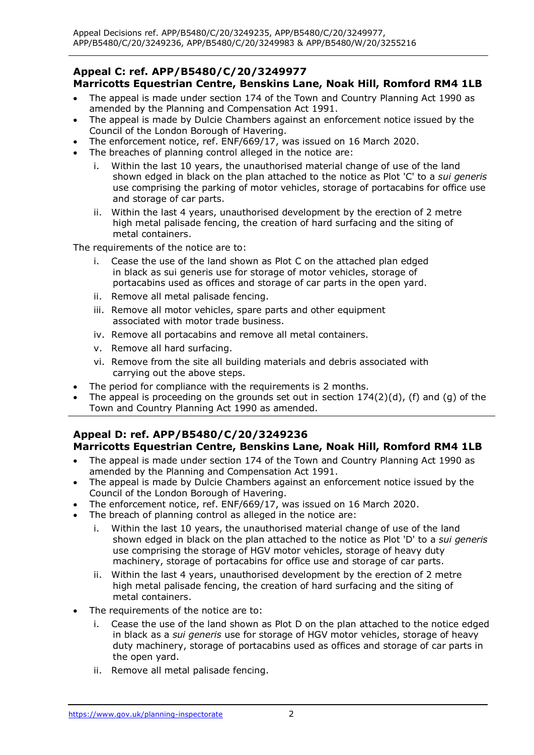#### **Marricotts Equestrian Centre, Benskins Lane, Noak Hill, Romford RM4 1LB Appeal C: ref. APP/B5480/C/20/3249977**

- • The appeal is made under section 174 of the Town and Country Planning Act 1990 as amended by the Planning and Compensation Act 1991.
- • The appeal is made by Dulcie Chambers against an enforcement notice issued by the Council of the London Borough of Havering.
- The enforcement notice, ref. ENF/669/17, was issued on 16 March 2020.
- • The breaches of planning control alleged in the notice are:
	- i. Within the last 10 years, the unauthorised material change of use of the land shown edged in black on the plan attached to the notice as Plot 'C' to a *sui generis*  and storage of car parts. use comprising the parking of motor vehicles, storage of portacabins for office use
	- ii. Within the last 4 years, unauthorised development by the erection of 2 metre high metal palisade fencing, the creation of hard surfacing and the siting of metal containers.

The requirements of the notice are to:

- i. Cease the use of the land shown as Plot C on the attached plan edged in black as sui generis use for storage of motor vehicles, storage of portacabins used as offices and storage of car parts in the open yard.
- ii. Remove all metal palisade fencing.
- iii. Remove all motor vehicles, spare parts and other equipment associated with motor trade business.
- iv. Remove all portacabins and remove all metal containers.
- v. Remove all hard surfacing.
- vi. Remove from the site all building materials and debris associated with carrying out the above steps.
- The period for compliance with the requirements is 2 months.
- The appeal is proceeding on the grounds set out in section  $174(2)(d)$ , (f) and (g) of the Town and Country Planning Act 1990 as amended.

#### **Marricotts Equestrian Centre, Benskins Lane, Noak Hill, Romford RM4 1LB Appeal D: ref. APP/B5480/C/20/3249236**

- • The appeal is made under section 174 of the Town and Country Planning Act 1990 as amended by the Planning and Compensation Act 1991.
- • The appeal is made by Dulcie Chambers against an enforcement notice issued by the Council of the London Borough of Havering.
- The enforcement notice, ref. ENF/669/17, was issued on 16 March 2020.
- • The breach of planning control as alleged in the notice are:
	- i. Within the last 10 years, the unauthorised material change of use of the land shown edged in black on the plan attached to the notice as Plot 'D' to a *sui generis*  use comprising the storage of HGV motor vehicles, storage of heavy duty machinery, storage of portacabins for office use and storage of car parts.
	- ii. Within the last 4 years, unauthorised development by the erection of 2 metre high metal palisade fencing, the creation of hard surfacing and the siting of metal containers.
- The requirements of the notice are to:
	- i. Cease the use of the land shown as Plot D on the plan attached to the notice edged in black as a *sui generis* use for storage of HGV motor vehicles, storage of heavy duty machinery, storage of portacabins used as offices and storage of car parts in the open yard.
	- ii. Remove all metal palisade fencing.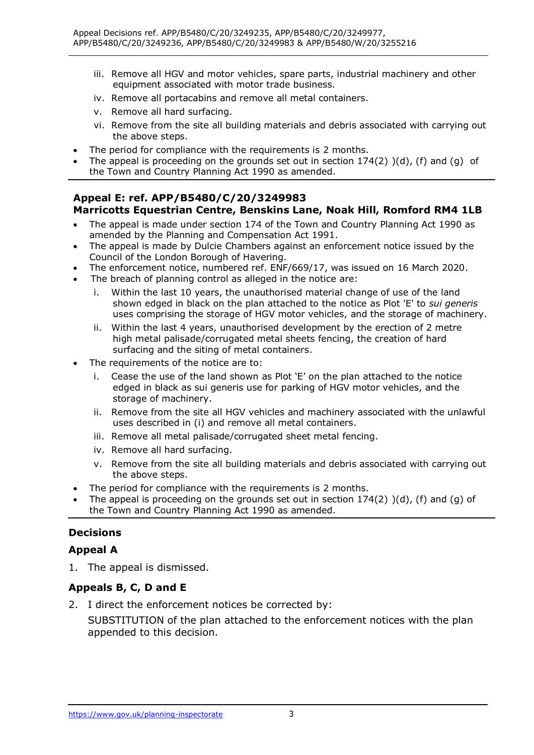- iii. Remove all HGV and motor vehicles, spare parts, industrial machinery and other equipment associated with motor trade business.
- iv. Remove all portacabins and remove all metal containers.
- v. Remove all hard surfacing.
- vi. Remove from the site all building materials and debris associated with carrying out the above steps.
- The period for compliance with the requirements is 2 months.
- The appeal is proceeding on the grounds set out in section  $174(2)$   $)(d)$ , (f) and (g) of the Town and Country Planning Act 1990 as amended.

#### **Marricotts Equestrian Centre, Benskins Lane, Noak Hill, Romford RM4 1LB Appeal E: ref. APP/B5480/C/20/3249983**

- • The appeal is made under section 174 of the Town and Country Planning Act 1990 as amended by the Planning and Compensation Act 1991.
- • The appeal is made by Dulcie Chambers against an enforcement notice issued by the Council of the London Borough of Havering.
- The enforcement notice, numbered ref. ENF/669/17, was issued on 16 March 2020.
- • The breach of planning control as alleged in the notice are:
	- i. Within the last 10 years, the unauthorised material change of use of the land shown edged in black on the plan attached to the notice as Plot 'E' to *sui generis*  uses comprising the storage of HGV motor vehicles, and the storage of machinery.
	- ii. Within the last 4 years, unauthorised development by the erection of 2 metre high metal palisade/corrugated metal sheets fencing, the creation of hard surfacing and the siting of metal containers.
- • The requirements of the notice are to:
	- i. Cease the use of the land shown as Plot 'E' on the plan attached to the notice edged in black as sui generis use for parking of HGV motor vehicles, and the storage of machinery.
	- ii. Remove from the site all HGV vehicles and machinery associated with the unlawful uses described in (i) and remove all metal containers.
	- iii. Remove all metal palisade/corrugated sheet metal fencing.
	- iv. Remove all hard surfacing.
	- v. Remove from the site all building materials and debris associated with carrying out the above steps.
- The period for compliance with the requirements is 2 months.
- The appeal is proceeding on the grounds set out in section  $174(2)$   $)(d)$ , (f) and (g) of the Town and Country Planning Act 1990 as amended.

## **Decisions**

## **Appeal A**

1. The appeal is dismissed.

## **Appeals B, C, D and E**

2. I direct the enforcement notices be corrected by:

 SUBSTITUTION of the plan attached to the enforcement notices with the plan appended to this decision.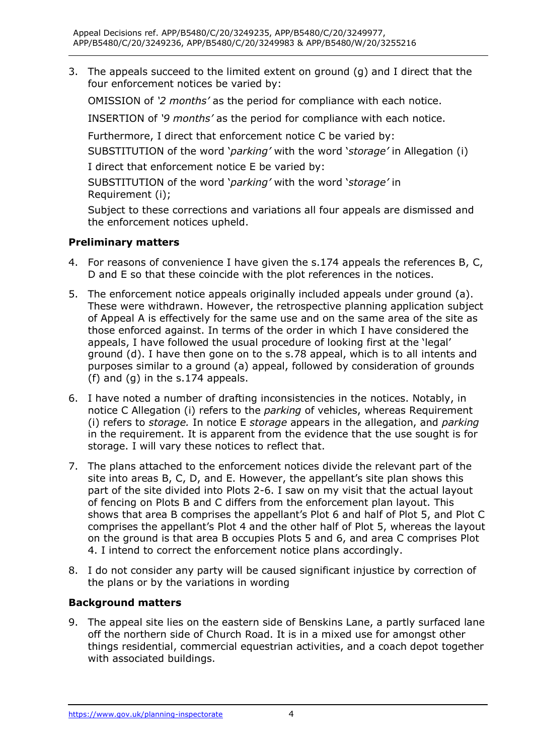3. The appeals succeed to the limited extent on ground (g) and I direct that the four enforcement notices be varied by:

OMISSION of *'2 months'* as the period for compliance with each notice.

 INSERTION of *'9 months'* as the period for compliance with each notice.

Furthermore, I direct that enforcement notice C be varied by:

SUBSTITUTION of the word '*parking'* with the word '*storage'* in Allegation (i)

I direct that enforcement notice E be varied by:

 SUBSTITUTION of the word '*parking'* with the word '*storage'* in Requirement (i);

 Subject to these corrections and variations all four appeals are dismissed and the enforcement notices upheld.

## **Preliminary matters**

- 4. For reasons of convenience I have given the s.174 appeals the references B, C, D and E so that these coincide with the plot references in the notices.
- 5. The enforcement notice appeals originally included appeals under ground (a). These were withdrawn. However, the retrospective planning application subject of Appeal A is effectively for the same use and on the same area of the site as those enforced against. In terms of the order in which I have considered the appeals, I have followed the usual procedure of looking first at the 'legal' ground (d). I have then gone on to the s.78 appeal, which is to all intents and purposes similar to a ground (a) appeal, followed by consideration of grounds (f) and (g) in the s.174 appeals.
- 6. I have noted a number of drafting inconsistencies in the notices. Notably, in (i) refers to *storage.* In notice E *storage* appears in the allegation, and *parking*  in the requirement. It is apparent from the evidence that the use sought is for storage. I will vary these notices to reflect that. notice C Allegation (i) refers to the *parking* of vehicles, whereas Requirement
- 7. The plans attached to the enforcement notices divide the relevant part of the site into areas B, C, D, and E. However, the appellant's site plan shows this part of the site divided into Plots 2-6. I saw on my visit that the actual layout of fencing on Plots B and C differs from the enforcement plan layout. This shows that area B comprises the appellant's Plot 6 and half of Plot 5, and Plot C comprises the appellant's Plot 4 and the other half of Plot 5, whereas the layout on the ground is that area B occupies Plots 5 and 6, and area C comprises Plot 4. I intend to correct the enforcement notice plans accordingly.
- 8. I do not consider any party will be caused significant injustice by correction of the plans or by the variations in wording

## **Background matters**

 9. The appeal site lies on the eastern side of Benskins Lane, a partly surfaced lane off the northern side of Church Road. It is in a mixed use for amongst other things residential, commercial equestrian activities, and a coach depot together with associated buildings.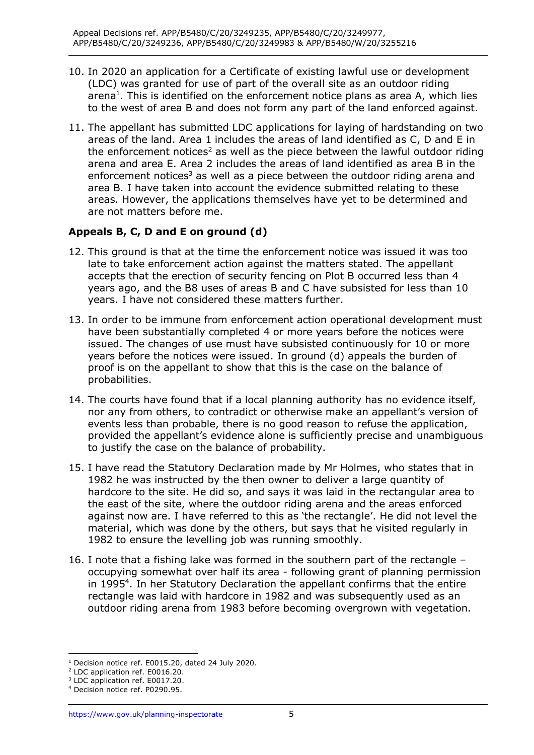- 10. In 2020 an application for a Certificate of existing lawful use or development (LDC) was granted for use of part of the overall site as an outdoor riding arena<sup>1</sup>. This is identified on the enforcement notice plans as area A, which lies to the west of area B and does not form any part of the land enforced against.
- 11. The appellant has submitted LDC applications for laying of hardstanding on two areas of the land. Area 1 includes the areas of land identified as C, D and E in the enforcement notices<sup>2</sup> as well as the piece between the lawful outdoor riding arena and area E. Area 2 includes the areas of land identified as area B in the enforcement notices<sup>3</sup> as well as a piece between the outdoor riding arena and area B. I have taken into account the evidence submitted relating to these areas. However, the applications themselves have yet to be determined and are not matters before me.

## **Appeals B, C, D and E on ground (d)**

- 12. This ground is that at the time the enforcement notice was issued it was too late to take enforcement action against the matters stated. The appellant accepts that the erection of security fencing on Plot B occurred less than 4 years ago, and the B8 uses of areas B and C have subsisted for less than 10 years. I have not considered these matters further.
- 13. In order to be immune from enforcement action operational development must have been substantially completed 4 or more years before the notices were issued. The changes of use must have subsisted continuously for 10 or more years before the notices were issued. In ground (d) appeals the burden of proof is on the appellant to show that this is the case on the balance of probabilities.
- 14. The courts have found that if a local planning authority has no evidence itself, nor any from others, to contradict or otherwise make an appellant's version of events less than probable, there is no good reason to refuse the application, provided the appellant's evidence alone is sufficiently precise and unambiguous to justify the case on the balance of probability.
- 15. I have read the Statutory Declaration made by Mr Holmes, who states that in 1982 he was instructed by the then owner to deliver a large quantity of hardcore to the site. He did so, and says it was laid in the rectangular area to the east of the site, where the outdoor riding arena and the areas enforced against now are. I have referred to this as 'the rectangle'. He did not level the material, which was done by the others, but says that he visited regularly in 1982 to ensure the levelling job was running smoothly.
- 16. I note that a fishing lake was formed in the southern part of the rectangle occupying somewhat over half its area - following grant of planning permission in 1995<sup>4</sup>. In her Statutory Declaration the appellant confirms that the entire rectangle was laid with hardcore in 1982 and was subsequently used as an outdoor riding arena from 1983 before becoming overgrown with vegetation.

<sup>&</sup>lt;sup>1</sup> Decision notice ref. E0015.20, dated 24 July 2020.<br><sup>2</sup> LDC application ref. E0016.20.<br><sup>3</sup> LDC application ref. E0017.20.<br><sup>4</sup> Decision notice ref. P0290.95.

<sup>&</sup>lt;sup>4</sup> Decision notice ref. P0290.95.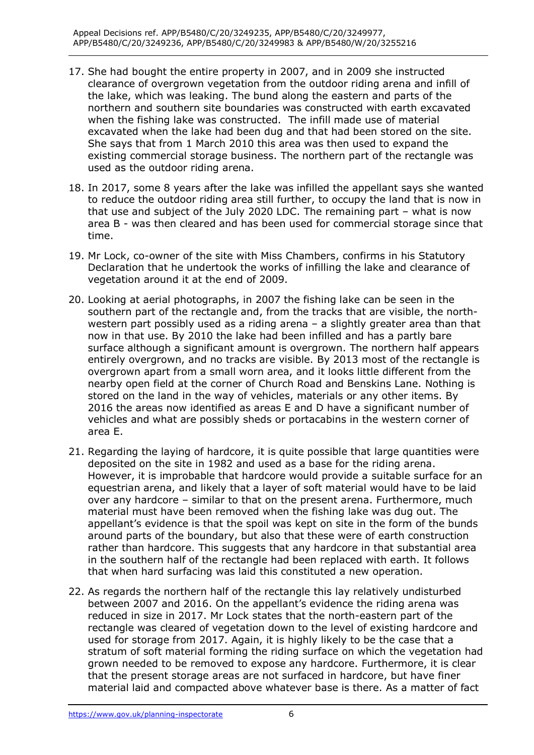- 17. She had bought the entire property in 2007, and in 2009 she instructed clearance of overgrown vegetation from the outdoor riding arena and infill of the lake, which was leaking. The bund along the eastern and parts of the northern and southern site boundaries was constructed with earth excavated when the fishing lake was constructed. The infill made use of material excavated when the lake had been dug and that had been stored on the site. She says that from 1 March 2010 this area was then used to expand the existing commercial storage business. The northern part of the rectangle was used as the outdoor riding arena.
- 18. In 2017, some 8 years after the lake was infilled the appellant says she wanted to reduce the outdoor riding area still further, to occupy the land that is now in that use and subject of the July 2020 LDC. The remaining part – what is now area B - was then cleared and has been used for commercial storage since that time.
- 19. Mr Lock, co-owner of the site with Miss Chambers, confirms in his Statutory Declaration that he undertook the works of infilling the lake and clearance of vegetation around it at the end of 2009.
- 20. Looking at aerial photographs, in 2007 the fishing lake can be seen in the southern part of the rectangle and, from the tracks that are visible, the north- western part possibly used as a riding arena – a slightly greater area than that now in that use. By 2010 the lake had been infilled and has a partly bare entirely overgrown, and no tracks are visible. By 2013 most of the rectangle is overgrown apart from a small worn area, and it looks little different from the nearby open field at the corner of Church Road and Benskins Lane. Nothing is stored on the land in the way of vehicles, materials or any other items. By 2016 the areas now identified as areas E and D have a significant number of vehicles and what are possibly sheds or portacabins in the western corner of surface although a significant amount is overgrown. The northern half appears area E.
- 21. Regarding the laying of hardcore, it is quite possible that large quantities were deposited on the site in 1982 and used as a base for the riding arena. However, it is improbable that hardcore would provide a suitable surface for an equestrian arena, and likely that a layer of soft material would have to be laid over any hardcore – similar to that on the present arena. Furthermore, much material must have been removed when the fishing lake was dug out. The appellant's evidence is that the spoil was kept on site in the form of the bunds around parts of the boundary, but also that these were of earth construction rather than hardcore. This suggests that any hardcore in that substantial area in the southern half of the rectangle had been replaced with earth. It follows that when hard surfacing was laid this constituted a new operation.
- 22. As regards the northern half of the rectangle this lay relatively undisturbed between 2007 and 2016. On the appellant's evidence the riding arena was reduced in size in 2017. Mr Lock states that the north-eastern part of the rectangle was cleared of vegetation down to the level of existing hardcore and used for storage from 2017. Again, it is highly likely to be the case that a stratum of soft material forming the riding surface on which the vegetation had grown needed to be removed to expose any hardcore. Furthermore, it is clear that the present storage areas are not surfaced in hardcore, but have finer material laid and compacted above whatever base is there. As a matter of fact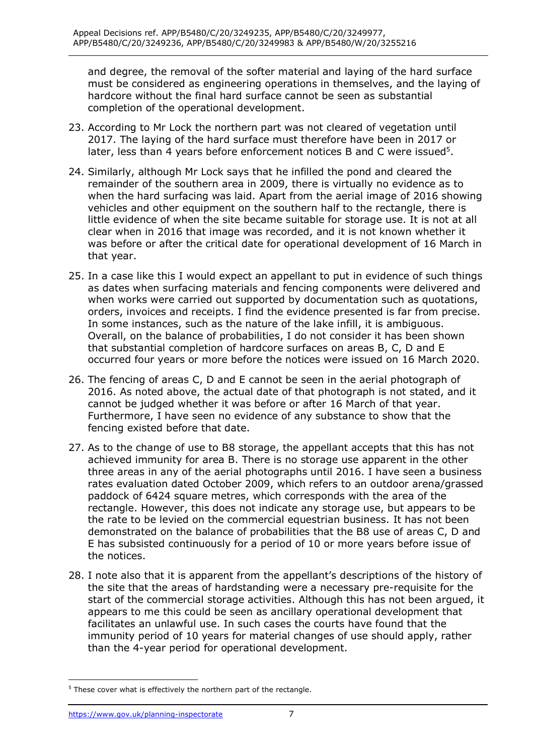and degree, the removal of the softer material and laying of the hard surface must be considered as engineering operations in themselves, and the laying of hardcore without the final hard surface cannot be seen as substantial completion of the operational development.

- 23. According to Mr Lock the northern part was not cleared of vegetation until 2017. The laying of the hard surface must therefore have been in 2017 or later, less than 4 years before enforcement notices B and C were issued<sup>5</sup>.
- 24. Similarly, although Mr Lock says that he infilled the pond and cleared the remainder of the southern area in 2009, there is virtually no evidence as to when the hard surfacing was laid. Apart from the aerial image of 2016 showing vehicles and other equipment on the southern half to the rectangle, there is little evidence of when the site became suitable for storage use. It is not at all clear when in 2016 that image was recorded, and it is not known whether it was before or after the critical date for operational development of 16 March in that year.
- 25. In a case like this I would expect an appellant to put in evidence of such things as dates when surfacing materials and fencing components were delivered and when works were carried out supported by documentation such as quotations, orders, invoices and receipts. I find the evidence presented is far from precise. In some instances, such as the nature of the lake infill, it is ambiguous. Overall, on the balance of probabilities, I do not consider it has been shown that substantial completion of hardcore surfaces on areas B, C, D and E occurred four years or more before the notices were issued on 16 March 2020.
- 26. The fencing of areas C, D and E cannot be seen in the aerial photograph of 2016. As noted above, the actual date of that photograph is not stated, and it cannot be judged whether it was before or after 16 March of that year. Furthermore, I have seen no evidence of any substance to show that the fencing existed before that date.
- 27. As to the change of use to B8 storage, the appellant accepts that this has not achieved immunity for area B. There is no storage use apparent in the other three areas in any of the aerial photographs until 2016. I have seen a business rates evaluation dated October 2009, which refers to an outdoor arena/grassed paddock of 6424 square metres, which corresponds with the area of the rectangle. However, this does not indicate any storage use, but appears to be the rate to be levied on the commercial equestrian business. It has not been demonstrated on the balance of probabilities that the B8 use of areas C, D and E has subsisted continuously for a period of 10 or more years before issue of the notices.
- 28. I note also that it is apparent from the appellant's descriptions of the history of the site that the areas of hardstanding were a necessary pre-requisite for the start of the commercial storage activities. Although this has not been argued, it facilitates an unlawful use. In such cases the courts have found that the immunity period of 10 years for material changes of use should apply, rather appears to me this could be seen as ancillary operational development that than the 4-year period for operational development.

 $5$  These cover what is effectively the northern part of the rectangle.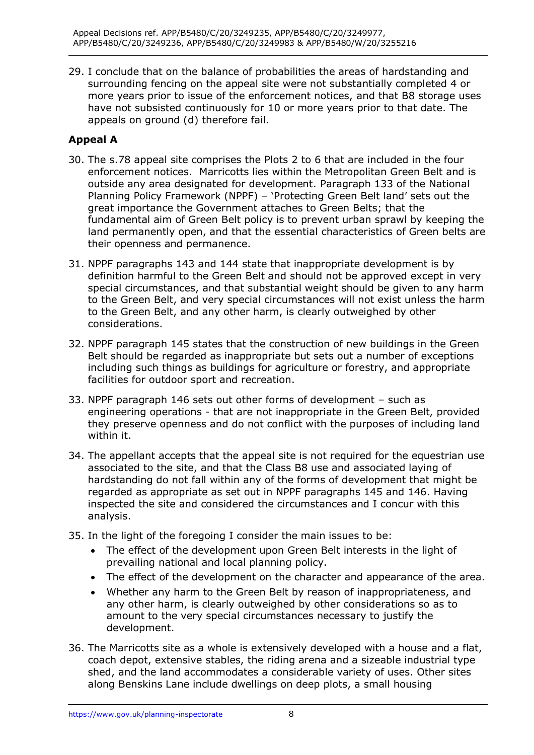29. I conclude that on the balance of probabilities the areas of hardstanding and surrounding fencing on the appeal site were not substantially completed 4 or more years prior to issue of the enforcement notices, and that B8 storage uses have not subsisted continuously for 10 or more years prior to that date. The appeals on ground (d) therefore fail.

## **Appeal A**

- 30. The s.78 appeal site comprises the Plots 2 to 6 that are included in the four enforcement notices. Marricotts lies within the Metropolitan Green Belt and is outside any area designated for development. Paragraph 133 of the National Planning Policy Framework (NPPF) – 'Protecting Green Belt land' sets out the great importance the Government attaches to Green Belts; that the fundamental aim of Green Belt policy is to prevent urban sprawl by keeping the land permanently open, and that the essential characteristics of Green belts are their openness and permanence.
- 31. NPPF paragraphs 143 and 144 state that inappropriate development is by definition harmful to the Green Belt and should not be approved except in very special circumstances, and that substantial weight should be given to any harm to the Green Belt, and very special circumstances will not exist unless the harm to the Green Belt, and any other harm, is clearly outweighed by other considerations.
- Belt should be regarded as inappropriate but sets out a number of exceptions including such things as buildings for agriculture or forestry, and appropriate facilities for outdoor sport and recreation. 32. NPPF paragraph 145 states that the construction of new buildings in the Green
- 33. NPPF paragraph 146 sets out other forms of development such as engineering operations - that are not inappropriate in the Green Belt, provided they preserve openness and do not conflict with the purposes of including land within it.
- 34. The appellant accepts that the appeal site is not required for the equestrian use associated to the site, and that the Class B8 use and associated laying of hardstanding do not fall within any of the forms of development that might be regarded as appropriate as set out in NPPF paragraphs 145 and 146. Having inspected the site and considered the circumstances and I concur with this analysis.
- 35. In the light of the foregoing I consider the main issues to be:
	- • The effect of the development upon Green Belt interests in the light of prevailing national and local planning policy.
	- The effect of the development on the character and appearance of the area.
	- • Whether any harm to the Green Belt by reason of inappropriateness, and any other harm, is clearly outweighed by other considerations so as to amount to the very special circumstances necessary to justify the development.
- 36. The Marricotts site as a whole is extensively developed with a house and a flat, coach depot, extensive stables, the riding arena and a sizeable industrial type shed, and the land accommodates a considerable variety of uses. Other sites along Benskins Lane include dwellings on deep plots, a small housing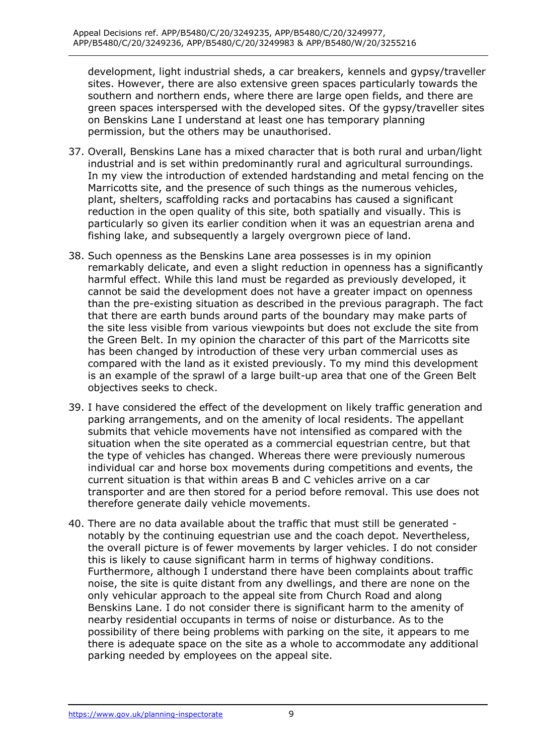development, light industrial sheds, a car breakers, kennels and gypsy/traveller sites. However, there are also extensive green spaces particularly towards the southern and northern ends, where there are large open fields, and there are green spaces interspersed with the developed sites. Of the gypsy/traveller sites on Benskins Lane I understand at least one has temporary planning permission, but the others may be unauthorised.

- 37. Overall, Benskins Lane has a mixed character that is both rural and urban/light industrial and is set within predominantly rural and agricultural surroundings. In my view the introduction of extended hardstanding and metal fencing on the Marricotts site, and the presence of such things as the numerous vehicles, plant, shelters, scaffolding racks and portacabins has caused a significant reduction in the open quality of this site, both spatially and visually. This is particularly so given its earlier condition when it was an equestrian arena and fishing lake, and subsequently a largely overgrown piece of land.
- 38. Such openness as the Benskins Lane area possesses is in my opinion remarkably delicate, and even a slight reduction in openness has a significantly harmful effect. While this land must be regarded as previously developed, it cannot be said the development does not have a greater impact on openness than the pre-existing situation as described in the previous paragraph. The fact that there are earth bunds around parts of the boundary may make parts of the site less visible from various viewpoints but does not exclude the site from the Green Belt. In my opinion the character of this part of the Marricotts site has been changed by introduction of these very urban commercial uses as compared with the land as it existed previously. To my mind this development is an example of the sprawl of a large built-up area that one of the Green Belt objectives seeks to check.
- 39. I have considered the effect of the development on likely traffic generation and parking arrangements, and on the amenity of local residents. The appellant submits that vehicle movements have not intensified as compared with the situation when the site operated as a commercial equestrian centre, but that the type of vehicles has changed. Whereas there were previously numerous individual car and horse box movements during competitions and events, the current situation is that within areas B and C vehicles arrive on a car transporter and are then stored for a period before removal. This use does not therefore generate daily vehicle movements.
- 40. There are no data available about the traffic that must still be generated notably by the continuing equestrian use and the coach depot. Nevertheless, the overall picture is of fewer movements by larger vehicles. I do not consider this is likely to cause significant harm in terms of highway conditions. Furthermore, although I understand there have been complaints about traffic noise, the site is quite distant from any dwellings, and there are none on the only vehicular approach to the appeal site from Church Road and along Benskins Lane. I do not consider there is significant harm to the amenity of nearby residential occupants in terms of noise or disturbance. As to the possibility of there being problems with parking on the site, it appears to me there is adequate space on the site as a whole to accommodate any additional parking needed by employees on the appeal site.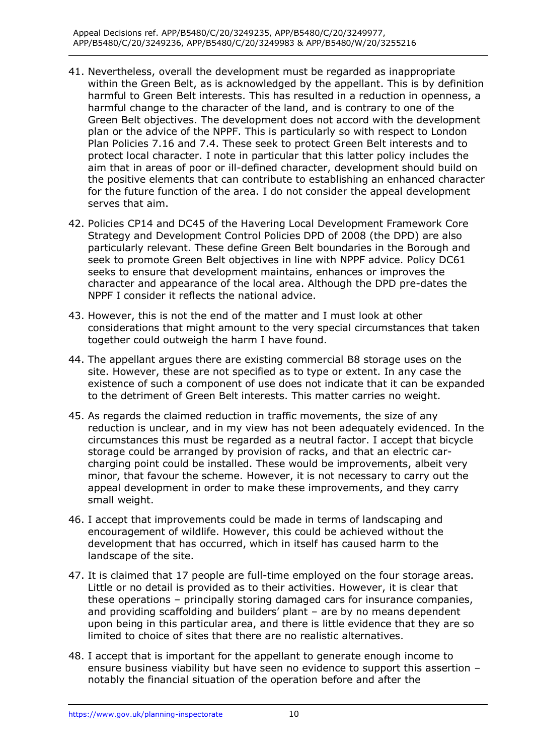- 41. Nevertheless, overall the development must be regarded as inappropriate within the Green Belt, as is acknowledged by the appellant. This is by definition harmful to Green Belt interests. This has resulted in a reduction in openness, a harmful change to the character of the land, and is contrary to one of the Green Belt objectives. The development does not accord with the development plan or the advice of the NPPF. This is particularly so with respect to London Plan Policies 7.16 and 7.4. These seek to protect Green Belt interests and to protect local character. I note in particular that this latter policy includes the aim that in areas of poor or ill-defined character, development should build on the positive elements that can contribute to establishing an enhanced character for the future function of the area. I do not consider the appeal development serves that aim.
- 42. Policies CP14 and DC45 of the Havering Local Development Framework Core Strategy and Development Control Policies DPD of 2008 (the DPD) are also particularly relevant. These define Green Belt boundaries in the Borough and seek to promote Green Belt objectives in line with NPPF advice. Policy DC61 character and appearance of the local area. Although the DPD pre-dates the NPPF I consider it reflects the national advice. seeks to ensure that development maintains, enhances or improves the
- 43. However, this is not the end of the matter and I must look at other considerations that might amount to the very special circumstances that taken together could outweigh the harm I have found.
- 44. The appellant argues there are existing commercial B8 storage uses on the site. However, these are not specified as to type or extent. In any case the existence of such a component of use does not indicate that it can be expanded to the detriment of Green Belt interests. This matter carries no weight.
- 45. As regards the claimed reduction in traffic movements, the size of any reduction is unclear, and in my view has not been adequately evidenced. In the circumstances this must be regarded as a neutral factor. I accept that bicycle storage could be arranged by provision of racks, and that an electric car- charging point could be installed. These would be improvements, albeit very minor, that favour the scheme. However, it is not necessary to carry out the appeal development in order to make these improvements, and they carry small weight.
- 46. I accept that improvements could be made in terms of landscaping and encouragement of wildlife. However, this could be achieved without the development that has occurred, which in itself has caused harm to the landscape of the site.
- 47. It is claimed that 17 people are full-time employed on the four storage areas. Little or no detail is provided as to their activities. However, it is clear that these operations – principally storing damaged cars for insurance companies, and providing scaffolding and builders' plant – are by no means dependent upon being in this particular area, and there is little evidence that they are so limited to choice of sites that there are no realistic alternatives.
- 48. I accept that is important for the appellant to generate enough income to ensure business viability but have seen no evidence to support this assertion – notably the financial situation of the operation before and after the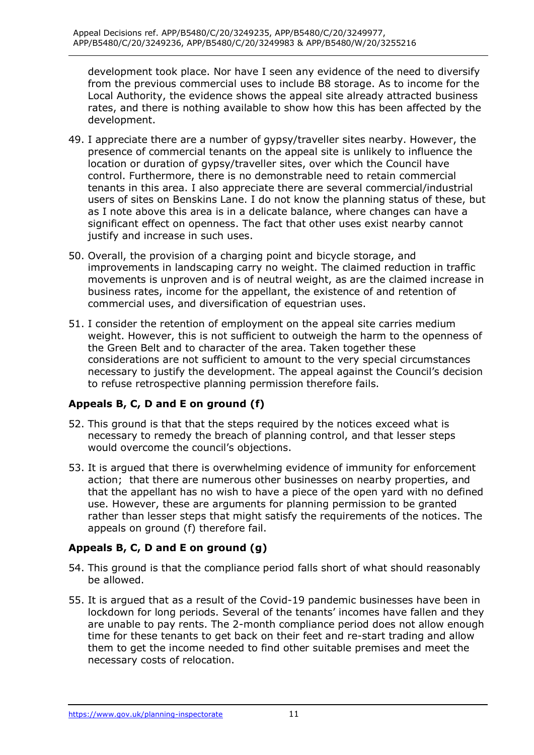development took place. Nor have I seen any evidence of the need to diversify from the previous commercial uses to include B8 storage. As to income for the Local Authority, the evidence shows the appeal site already attracted business rates, and there is nothing available to show how this has been affected by the development.

- 49. I appreciate there are a number of gypsy/traveller sites nearby. However, the presence of commercial tenants on the appeal site is unlikely to influence the location or duration of gypsy/traveller sites, over which the Council have control. Furthermore, there is no demonstrable need to retain commercial tenants in this area. I also appreciate there are several commercial/industrial users of sites on Benskins Lane. I do not know the planning status of these, but as I note above this area is in a delicate balance, where changes can have a significant effect on openness. The fact that other uses exist nearby cannot justify and increase in such uses.
- 50. Overall, the provision of a charging point and bicycle storage, and improvements in landscaping carry no weight. The claimed reduction in traffic movements is unproven and is of neutral weight, as are the claimed increase in business rates, income for the appellant, the existence of and retention of commercial uses, and diversification of equestrian uses.
- 51. I consider the retention of employment on the appeal site carries medium weight. However, this is not sufficient to outweigh the harm to the openness of the Green Belt and to character of the area. Taken together these considerations are not sufficient to amount to the very special circumstances necessary to justify the development. The appeal against the Council's decision to refuse retrospective planning permission therefore fails.

## **Appeals B, C, D and E on ground (f)**

- 52. This ground is that that the steps required by the notices exceed what is necessary to remedy the breach of planning control, and that lesser steps would overcome the council's objections.
- 53. It is argued that there is overwhelming evidence of immunity for enforcement action; that there are numerous other businesses on nearby properties, and that the appellant has no wish to have a piece of the open yard with no defined use. However, these are arguments for planning permission to be granted rather than lesser steps that might satisfy the requirements of the notices. The appeals on ground (f) therefore fail.

## **Appeals B, C, D and E on ground (g)**

- 54. This ground is that the compliance period falls short of what should reasonably be allowed.
- 55. It is argued that as a result of the Covid-19 pandemic businesses have been in lockdown for long periods. Several of the tenants' incomes have fallen and they are unable to pay rents. The 2-month compliance period does not allow enough time for these tenants to get back on their feet and re-start trading and allow them to get the income needed to find other suitable premises and meet the necessary costs of relocation.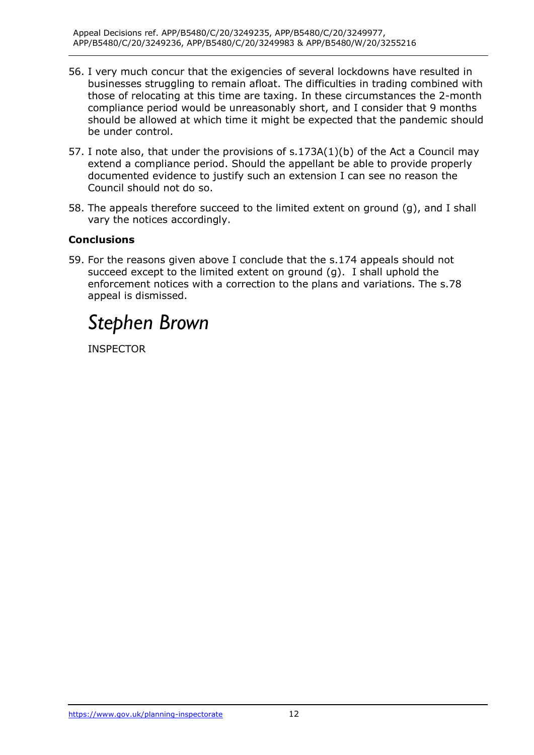- 56. I very much concur that the exigencies of several lockdowns have resulted in businesses struggling to remain afloat. The difficulties in trading combined with those of relocating at this time are taxing. In these circumstances the 2-month compliance period would be unreasonably short, and I consider that 9 months should be allowed at which time it might be expected that the pandemic should be under control.
- 57. I note also, that under the provisions of s.173A(1)(b) of the Act a Council may extend a compliance period. Should the appellant be able to provide properly documented evidence to justify such an extension I can see no reason the Council should not do so.
- 58. The appeals therefore succeed to the limited extent on ground (g), and I shall vary the notices accordingly.

#### **Conclusions**

 59. For the reasons given above I conclude that the s.174 appeals should not succeed except to the limited extent on ground (g). I shall uphold the enforcement notices with a correction to the plans and variations. The s.78 appeal is dismissed.

# *Stephen Brown*

**INSPECTOR**